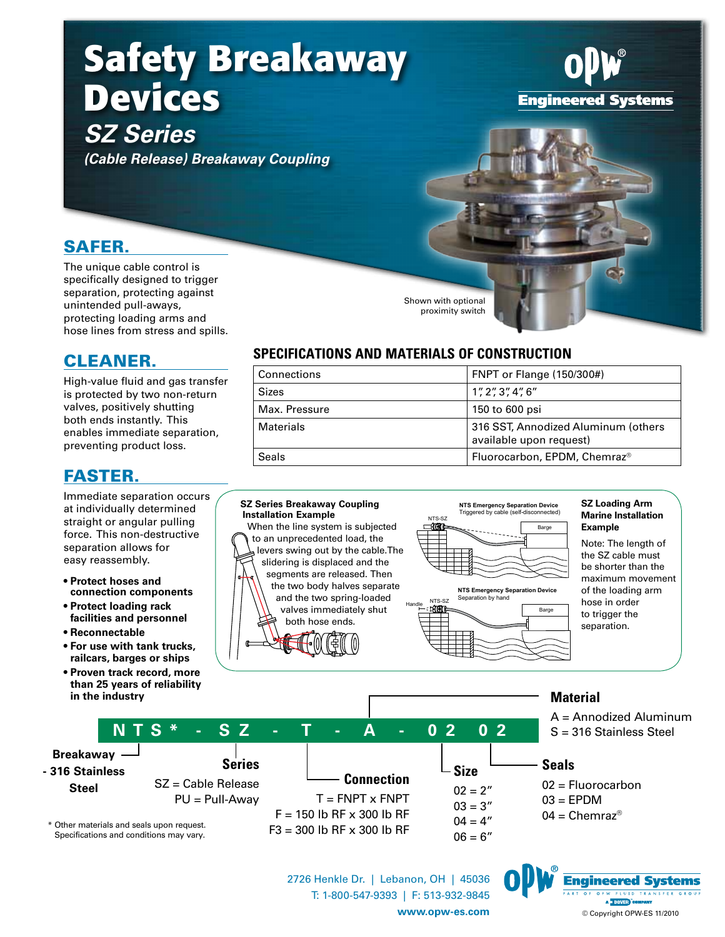# **Safety Breakaway Devices**

Engineered Systems

## *SZ Series*

*(Cable Release) Breakaway Coupling*

## SAFER.

The unique cable control is specifically designed to trigger separation, protecting against unintended pull-aways, protecting loading arms and hose lines from stress and spills.

## Cleaner.

High-value fluid and gas transfer is protected by two non-return valves, positively shutting both ends instantly. This enables immediate separation, preventing product loss.

## FASTER.

Immediate separation occurs at individually determined straight or angular pulling force. This non-destructive separation allows for easy reassembly.

- **Protect hoses and connection components**
- **Protect loading rack facilities and personnel**
- **Reconnectable**
- **For use with tank trucks, railcars, barges or ships**
- **Proven track record, more in the industry**

Shown with optional proximity switch

### **SPECIFICATIONS AND MATERIALS OF CONSTRUCTION**

| Connections   | <b>FNPT or Flange (150/300#)</b>                               |
|---------------|----------------------------------------------------------------|
| <b>Sizes</b>  | 1", 2", 3", 4", 6"                                             |
| Max. Pressure | 150 to 600 psi                                                 |
| Materials     | 316 SST, Annodized Aluminum (others<br>available upon request) |
| Seals         | Fluorocarbon, EPDM, Chemraz <sup>®</sup>                       |

#### **SZ Series Breakaway Coupling Installation Example** When the line system is subjected





**NTS Emergency Separation Device** Separation by hand



#### **SZ Loading Arm Marine Installation Example**

Note: The length of the SZ cable must be shorter than the maximum movement of the loading arm hose in order to trigger the separation.

Enaineered Sy a Fran

#### **than 25 years of reliability** Specifications and conditions may vary.  $F = 150$  lb RF x 300 lb RF  $^{t.}$  F3 = 300 lb RF x 300 lb RF **Breakaway - 316 Stainless Steel Series** SZ = Cable Release PU = Pull-Away **Connection**  $T = FNPT \times FNPT$ **Material** A = Annodized Aluminum S = 316 Stainless Steel **Size**  $02 = 2"$  $03 = 3"$  $04 = 4"$  $06 = 6"$ **Seals**  $02$  = Fluorocarbon  $03 = EPDM$  $04$  = Chemraz<sup>®</sup> \* Other materials and seals upon request. **NTS\* - SZ - T - A - 02 02** 1766= 6HSDUDWLRQE\KDQG

2726 Henkle Dr. | Lebanon, OH | 45036 T: 1-800-547-9393 | F: 513-932-9845 **www.opw-es.com** © Copyright OPW-ES 11/2010